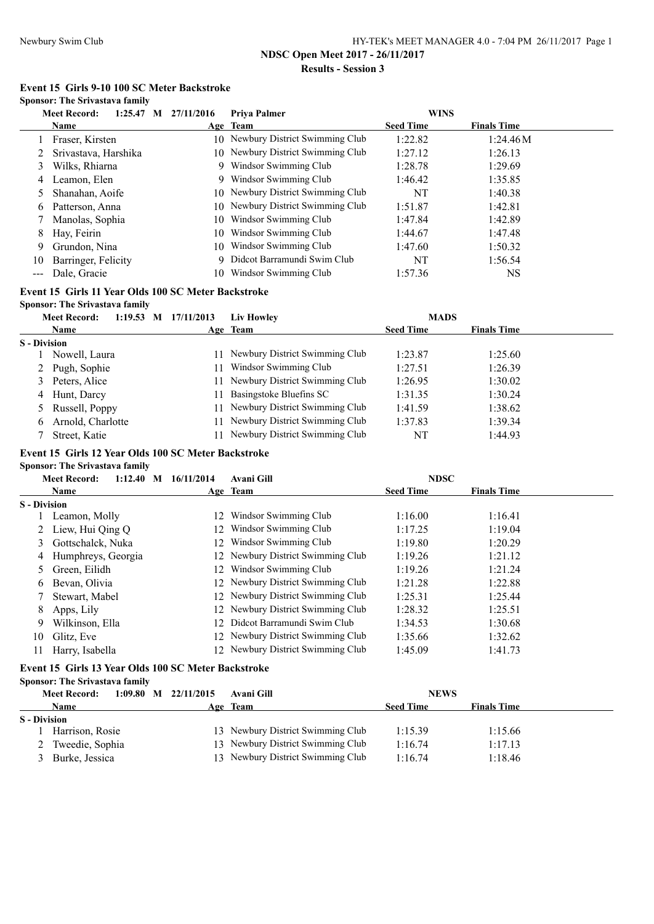**Event 15 Girls 9-10 100 SC Meter Backstroke**

#### **Sponsor: The Srivastava family**

|               | <b>Meet Record:</b><br>$1:25.47$ M | 27/11/2016 | Priva Palmer                      | <b>WINS</b>      |                    |
|---------------|------------------------------------|------------|-----------------------------------|------------------|--------------------|
|               | Name                               |            | Age Team                          | <b>Seed Time</b> | <b>Finals Time</b> |
|               | Fraser, Kirsten                    |            | 10 Newbury District Swimming Club | 1:22.82          | 1:24.46M           |
|               | Srivastava, Harshika               |            | 10 Newbury District Swimming Club | 1:27.12          | 1:26.13            |
| 3             | Wilks, Rhiarna                     | 9          | Windsor Swimming Club             | 1:28.78          | 1:29.69            |
|               | 4 Leamon, Elen                     |            | 9 Windsor Swimming Club           | 1:46.42          | 1:35.85            |
|               | Shanahan, Aoife                    |            | 10 Newbury District Swimming Club | NT               | 1:40.38            |
| 6.            | Patterson, Anna                    |            | 10 Newbury District Swimming Club | 1:51.87          | 1:42.81            |
|               | Manolas, Sophia                    | 10         | Windsor Swimming Club             | 1:47.84          | 1:42.89            |
| 8             | Hay, Feirin                        | 10         | Windsor Swimming Club             | 1:44.67          | 1:47.48            |
| 9             | Grundon, Nina                      | 10         | Windsor Swimming Club             | 1:47.60          | 1:50.32            |
| 10            | Barringer, Felicity                | 9          | Didcot Barramundi Swim Club       | NT               | 1:56.54            |
| $\frac{1}{2}$ | Dale, Gracie                       | 10         | Windsor Swimming Club             | 1:57.36          | <b>NS</b>          |

# **Event 15 Girls 11 Year Olds 100 SC Meter Backstroke**

**Sponsor: The Srivastava family**

|                     | <b>Meet Record:</b> |  | 1:19.53 M 17/11/2013 | Liv Howley                        | <b>MADS</b>      |                    |  |
|---------------------|---------------------|--|----------------------|-----------------------------------|------------------|--------------------|--|
|                     | <b>Name</b>         |  |                      | Age Team                          | <b>Seed Time</b> | <b>Finals Time</b> |  |
| <b>S</b> - Division |                     |  |                      |                                   |                  |                    |  |
|                     | Nowell, Laura       |  |                      | Newbury District Swimming Club    | 1:23.87          | 1:25.60            |  |
|                     | 2 Pugh, Sophie      |  |                      | Windsor Swimming Club             | 1:27.51          | 1:26.39            |  |
| 3                   | Peters, Alice       |  |                      | Newbury District Swimming Club    | 1:26.95          | 1:30.02            |  |
| 4                   | Hunt, Darcy         |  |                      | Basingstoke Bluefins SC           | 1:31.35          | 1:30.24            |  |
|                     | Russell, Poppy      |  |                      | 11 Newbury District Swimming Club | 1:41.59          | 1:38.62            |  |
| 6                   | Arnold, Charlotte   |  |                      | Newbury District Swimming Club    | 1:37.83          | 1:39.34            |  |
|                     | Street, Katie       |  |                      | Newbury District Swimming Club    | NT               | 1:44.93            |  |
|                     |                     |  |                      |                                   |                  |                    |  |

### **Event 15 Girls 12 Year Olds 100 SC Meter Backstroke**

### **Sponsor: The Srivastava family**

|                     | <b>Meet Record:</b><br>$1:12.40$ M | 16/11/2014 | <b>Avani Gill</b>                 | <b>NDSC</b>      |                    |  |
|---------------------|------------------------------------|------------|-----------------------------------|------------------|--------------------|--|
|                     | <b>Name</b>                        |            | Age Team                          | <b>Seed Time</b> | <b>Finals Time</b> |  |
| <b>S</b> - Division |                                    |            |                                   |                  |                    |  |
|                     | Leamon, Molly                      | 12         | Windsor Swimming Club             | 1:16.00          | 1:16.41            |  |
|                     | Liew, Hui Oing O                   |            | 12 Windsor Swimming Club          | 1:17.25          | 1:19.04            |  |
| 3                   | Gottschalck, Nuka                  |            | 12 Windsor Swimming Club          | 1:19.80          | 1:20.29            |  |
| 4                   | Humphreys, Georgia                 |            | 12 Newbury District Swimming Club | 1:19.26          | 1:21.12            |  |
|                     | Green, Eilidh                      |            | 12 Windsor Swimming Club          | 1:19.26          | 1:21.24            |  |
| 6.                  | Bevan, Olivia                      |            | 12 Newbury District Swimming Club | 1:21.28          | 1:22.88            |  |
|                     | Stewart, Mabel                     |            | 12 Newbury District Swimming Club | 1:25.31          | 1:25.44            |  |
| 8.                  | Apps, Lily                         |            | 12 Newbury District Swimming Club | 1:28.32          | 1:25.51            |  |
| 9                   | Wilkinson, Ella                    |            | 12 Didcot Barramundi Swim Club    | 1:34.53          | 1:30.68            |  |
| 10                  | Glitz, Eve                         |            | 12 Newbury District Swimming Club | 1:35.66          | 1:32.62            |  |
| 11                  | Harry, Isabella                    |            | 12 Newbury District Swimming Club | 1:45.09          | 1:41.73            |  |
|                     |                                    |            |                                   |                  |                    |  |

### **Event 15 Girls 13 Year Olds 100 SC Meter Backstroke**

**Sponsor: The Srivastava family**

|                     | 1:09.80<br><b>Meet Record:</b> | 22/11/2015<br>M | Avani Gill                        | <b>NEWS</b>      |                    |
|---------------------|--------------------------------|-----------------|-----------------------------------|------------------|--------------------|
|                     | <b>Name</b>                    |                 | Age Team                          | <b>Seed Time</b> | <b>Finals Time</b> |
| <b>S</b> - Division |                                |                 |                                   |                  |                    |
|                     | Harrison, Rosie                |                 | 13 Newbury District Swimming Club | 1:15.39          | 1:15.66            |
|                     | 2 Tweedie, Sophia              |                 | 13 Newbury District Swimming Club | 1:16.74          | 1:17.13            |
|                     | Burke, Jessica                 |                 | 13 Newbury District Swimming Club | 1:16.74          | 1:18.46            |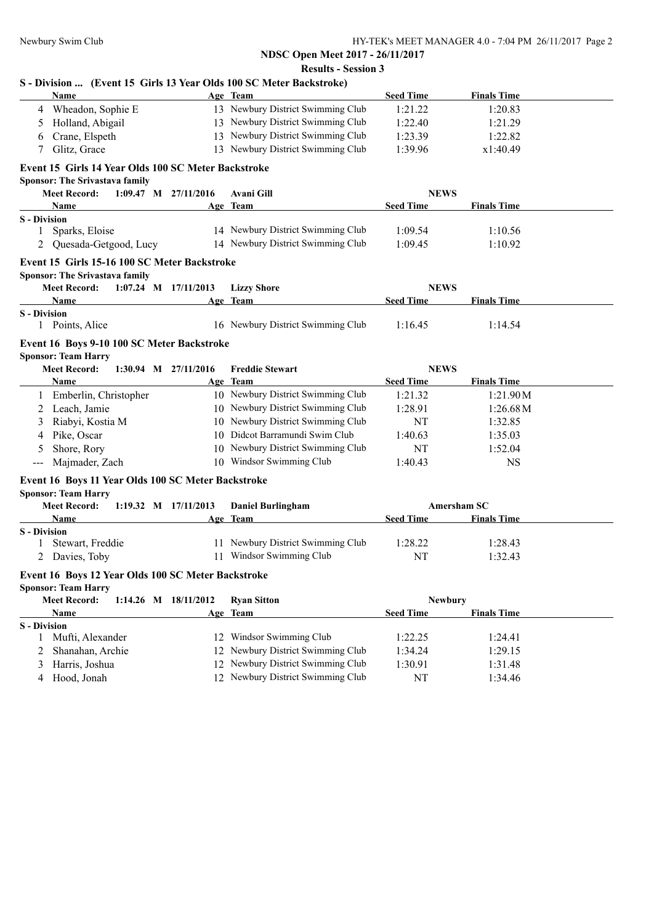| Name                                                                              | Age Team                          | <b>Seed Time</b> | <b>Finals Time</b> |
|-----------------------------------------------------------------------------------|-----------------------------------|------------------|--------------------|
| 4 Wheadon, Sophie E                                                               | 13 Newbury District Swimming Club | 1:21.22          | 1:20.83            |
| Holland, Abigail<br>5                                                             | 13 Newbury District Swimming Club | 1:22.40          | 1:21.29            |
| Crane, Elspeth<br>6                                                               | 13 Newbury District Swimming Club | 1:23.39          | 1:22.82            |
| Glitz, Grace<br>7                                                                 | 13 Newbury District Swimming Club | 1:39.96          | x1:40.49           |
| Event 15 Girls 14 Year Olds 100 SC Meter Backstroke                               |                                   |                  |                    |
| <b>Sponsor: The Srivastava family</b>                                             |                                   |                  |                    |
| <b>Meet Record:</b><br>$1:09.47$ M $27/11/2016$                                   | <b>Avani Gill</b>                 | <b>NEWS</b>      |                    |
| Name                                                                              | Age Team                          | <b>Seed Time</b> | <b>Finals Time</b> |
| <b>S</b> - Division                                                               |                                   |                  |                    |
| Sparks, Eloise<br>1                                                               | 14 Newbury District Swimming Club | 1:09.54          | 1:10.56            |
| Quesada-Getgood, Lucy                                                             | 14 Newbury District Swimming Club | 1:09.45          | 1:10.92            |
| Event 15 Girls 15-16 100 SC Meter Backstroke                                      |                                   |                  |                    |
| Sponsor: The Srivastava family<br><b>Meet Record:</b><br>$1:07.24$ M $17/11/2013$ |                                   | <b>NEWS</b>      |                    |
| Name                                                                              | <b>Lizzy Shore</b>                | <b>Seed Time</b> | <b>Finals Time</b> |
| <b>S</b> - Division                                                               | Age Team                          |                  |                    |
| 1 Points, Alice                                                                   | 16 Newbury District Swimming Club | 1:16.45          | 1:14.54            |
|                                                                                   |                                   |                  |                    |
| Event 16 Boys 9-10 100 SC Meter Backstroke<br><b>Sponsor: Team Harry</b>          |                                   |                  |                    |
| <b>Meet Record:</b><br>1:30.94 M 27/11/2016                                       | <b>Freddie Stewart</b>            | <b>NEWS</b>      |                    |
| <b>Name</b>                                                                       | Age Team                          | <b>Seed Time</b> | <b>Finals Time</b> |
| 1 Emberlin, Christopher                                                           | 10 Newbury District Swimming Club | 1:21.32          | 1:21.90M           |
| Leach, Jamie<br>2                                                                 | 10 Newbury District Swimming Club | 1:28.91          | 1:26.68M           |
| Riabyi, Kostia M<br>3                                                             | 10 Newbury District Swimming Club | NT               | 1:32.85            |
| Pike, Oscar<br>4                                                                  | 10 Didcot Barramundi Swim Club    | 1:40.63          | 1:35.03            |
| Shore, Rory<br>5                                                                  | 10 Newbury District Swimming Club | NT               | 1:52.04            |
| Majmader, Zach<br>$\qquad \qquad -$                                               | 10 Windsor Swimming Club          | 1:40.43          | <b>NS</b>          |
|                                                                                   |                                   |                  |                    |
| Event 16 Boys 11 Year Olds 100 SC Meter Backstroke<br><b>Sponsor: Team Harry</b>  |                                   |                  |                    |
| <b>Meet Record:</b><br>1:19.32 M 17/11/2013                                       | <b>Daniel Burlingham</b>          |                  | Amersham SC        |
| Name                                                                              | Age Team                          | <b>Seed Time</b> | <b>Finals Time</b> |
| <b>S</b> - Division                                                               |                                   |                  |                    |
| Stewart, Freddie<br>$\perp$                                                       | 11 Newbury District Swimming Club | 1:28.22          | 1:28.43            |
| Davies, Toby<br>2                                                                 | 11 Windsor Swimming Club          | NT               | 1:32.43            |
| Event 16 Boys 12 Year Olds 100 SC Meter Backstroke                                |                                   |                  |                    |
| <b>Sponsor: Team Harry</b>                                                        |                                   |                  |                    |
| <b>Meet Record:</b><br>1:14.26 M 18/11/2012                                       | <b>Ryan Sitton</b>                | <b>Newbury</b>   |                    |
| Name                                                                              | Age Team                          | <b>Seed Time</b> | <b>Finals Time</b> |
| <b>S</b> - Division                                                               |                                   |                  |                    |
| Mufti, Alexander<br>1                                                             | 12 Windsor Swimming Club          | 1:22.25          | 1:24.41            |
| Shanahan, Archie<br>2                                                             | 12 Newbury District Swimming Club | 1:34.24          | 1:29.15            |
| Harris, Joshua<br>3                                                               | 12 Newbury District Swimming Club | 1:30.91          | 1:31.48            |
| Hood, Jonah                                                                       | 12 Newbury District Swimming Club |                  | 1:34.46            |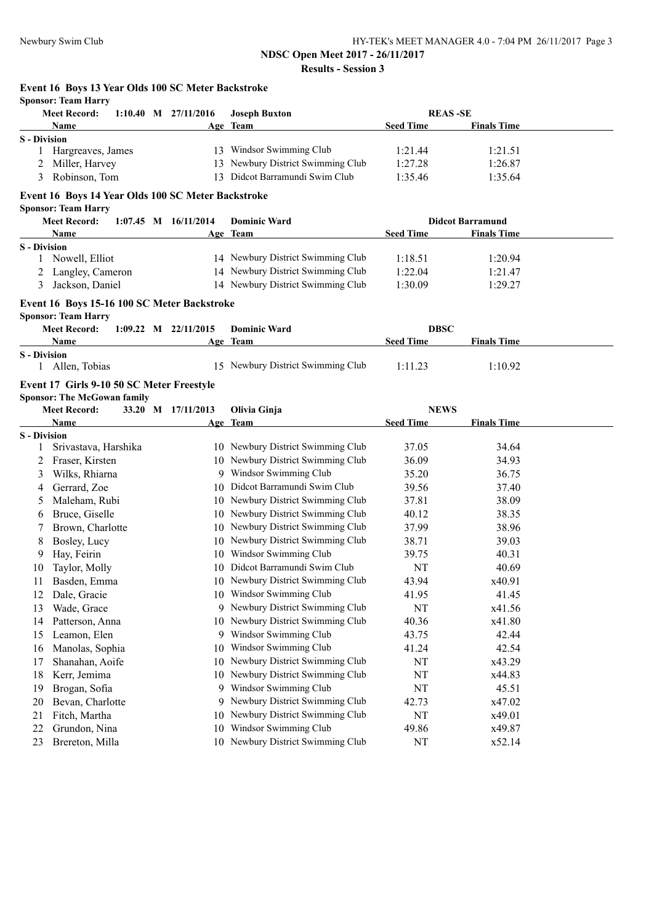**Event 16 Boys 13 Year Olds 100 SC Meter Backstroke**

|                          | <b>Sponsor: Team Harry</b>                         |                          |                                   |                                 |                         |  |
|--------------------------|----------------------------------------------------|--------------------------|-----------------------------------|---------------------------------|-------------------------|--|
|                          | <b>Meet Record:</b>                                | $1:10.40$ M $27/11/2016$ | <b>Joseph Buxton</b>              |                                 | <b>REAS-SE</b>          |  |
|                          | Name                                               |                          | Age Team                          | <b>Seed Time</b>                | <b>Finals Time</b>      |  |
| <b>S</b> - Division      | Hargreaves, James                                  |                          | 13 Windsor Swimming Club          | 1:21.44                         | 1:21.51                 |  |
| 1                        |                                                    |                          | 13 Newbury District Swimming Club | 1:27.28                         | 1:26.87                 |  |
| 3                        | Miller, Harvey<br>Robinson, Tom                    |                          | 13 Didcot Barramundi Swim Club    | 1:35.46                         | 1:35.64                 |  |
|                          |                                                    |                          |                                   |                                 |                         |  |
|                          | Event 16 Boys 14 Year Olds 100 SC Meter Backstroke |                          |                                   |                                 |                         |  |
|                          | <b>Sponsor: Team Harry</b>                         |                          |                                   |                                 |                         |  |
|                          | <b>Meet Record:</b>                                | $1:07.45$ M $16/11/2014$ | <b>Dominic Ward</b>               |                                 | <b>Didcot Barramund</b> |  |
|                          | Name                                               |                          | Age Team                          | <b>Seed Time</b>                | <b>Finals Time</b>      |  |
| <b>S</b> - Division<br>1 | Nowell, Elliot                                     |                          | 14 Newbury District Swimming Club | 1:18.51                         | 1:20.94                 |  |
| 2                        | Langley, Cameron                                   |                          | 14 Newbury District Swimming Club | 1:22.04                         | 1:21.47                 |  |
| 3                        | Jackson, Daniel                                    |                          | 14 Newbury District Swimming Club | 1:30.09                         | 1:29.27                 |  |
|                          |                                                    |                          |                                   |                                 |                         |  |
|                          | Event 16 Boys 15-16 100 SC Meter Backstroke        |                          |                                   |                                 |                         |  |
|                          | <b>Sponsor: Team Harry</b>                         |                          |                                   |                                 |                         |  |
|                          | <b>Meet Record:</b>                                | $1:09.22$ M $22/11/2015$ | <b>Dominic Ward</b>               | <b>DBSC</b>                     |                         |  |
| <b>S</b> - Division      | Name                                               |                          | Age Team                          | <b>Seed Time</b>                | <b>Finals Time</b>      |  |
|                          | 1 Allen, Tobias                                    |                          | 15 Newbury District Swimming Club | 1:11.23                         | 1:10.92                 |  |
|                          |                                                    |                          |                                   |                                 |                         |  |
|                          | Event 17 Girls 9-10 50 SC Meter Freestyle          |                          |                                   |                                 |                         |  |
|                          | <b>Sponsor: The McGowan family</b>                 |                          |                                   |                                 |                         |  |
|                          | <b>Meet Record:</b><br>Name                        | 33.20 M 17/11/2013       | Olivia Ginja                      | <b>NEWS</b><br><b>Seed Time</b> | <b>Finals Time</b>      |  |
| <b>S</b> - Division      |                                                    |                          | Age Team                          |                                 |                         |  |
| 1                        | Srivastava, Harshika                               |                          | 10 Newbury District Swimming Club | 37.05                           | 34.64                   |  |
| 2                        | Fraser, Kirsten                                    |                          | 10 Newbury District Swimming Club | 36.09                           | 34.93                   |  |
| 3                        | Wilks, Rhiarna                                     |                          | 9 Windsor Swimming Club           | 35.20                           | 36.75                   |  |
| 4                        | Gerrard, Zoe                                       |                          | 10 Didcot Barramundi Swim Club    | 39.56                           | 37.40                   |  |
| 5                        | Maleham, Rubi                                      |                          | 10 Newbury District Swimming Club | 37.81                           | 38.09                   |  |
| 6                        | Bruce, Giselle                                     |                          | 10 Newbury District Swimming Club | 40.12                           | 38.35                   |  |
| 7                        | Brown, Charlotte                                   |                          | 10 Newbury District Swimming Club | 37.99                           | 38.96                   |  |
| 8                        | Bosley, Lucy                                       |                          | 10 Newbury District Swimming Club | 38.71                           | 39.03                   |  |
| 9                        | Hay, Feirin                                        |                          | 10 Windsor Swimming Club          | 39.75                           | 40.31                   |  |
| 10                       | Taylor, Molly                                      |                          | 10 Didcot Barramundi Swim Club    | NT                              | 40.69                   |  |
| 11                       | Basden, Emma                                       |                          | 10 Newbury District Swimming Club | 43.94                           | x40.91                  |  |
| 12                       | Dale, Gracie                                       |                          | 10 Windsor Swimming Club          | 41.95                           | 41.45                   |  |
| 13                       | Wade, Grace                                        |                          | 9 Newbury District Swimming Club  | NT                              | x41.56                  |  |
| 14                       | Patterson, Anna                                    | 10                       | Newbury District Swimming Club    | 40.36                           | x41.80                  |  |
| 15                       | Leamon, Elen                                       | 9                        | Windsor Swimming Club             | 43.75                           | 42.44                   |  |
| 16                       | Manolas, Sophia                                    | 10                       | Windsor Swimming Club             | 41.24                           | 42.54                   |  |
| 17                       | Shanahan, Aoife                                    | 10                       | Newbury District Swimming Club    | NT                              | x43.29                  |  |
| 18                       | Kerr, Jemima                                       | 10                       | Newbury District Swimming Club    | NT                              | x44.83                  |  |
| 19                       | Brogan, Sofia                                      | 9                        | Windsor Swimming Club             | NT                              | 45.51                   |  |
| 20                       | Bevan, Charlotte                                   | 9                        | Newbury District Swimming Club    | 42.73                           | x47.02                  |  |
| 21                       | Fitch, Martha                                      | 10                       | Newbury District Swimming Club    | NT                              | x49.01                  |  |
| 22                       | Grundon, Nina                                      | 10                       | Windsor Swimming Club             | 49.86                           | x49.87                  |  |
| 23                       | Brereton, Milla                                    | 10                       | Newbury District Swimming Club    | NT                              | x52.14                  |  |
|                          |                                                    |                          |                                   |                                 |                         |  |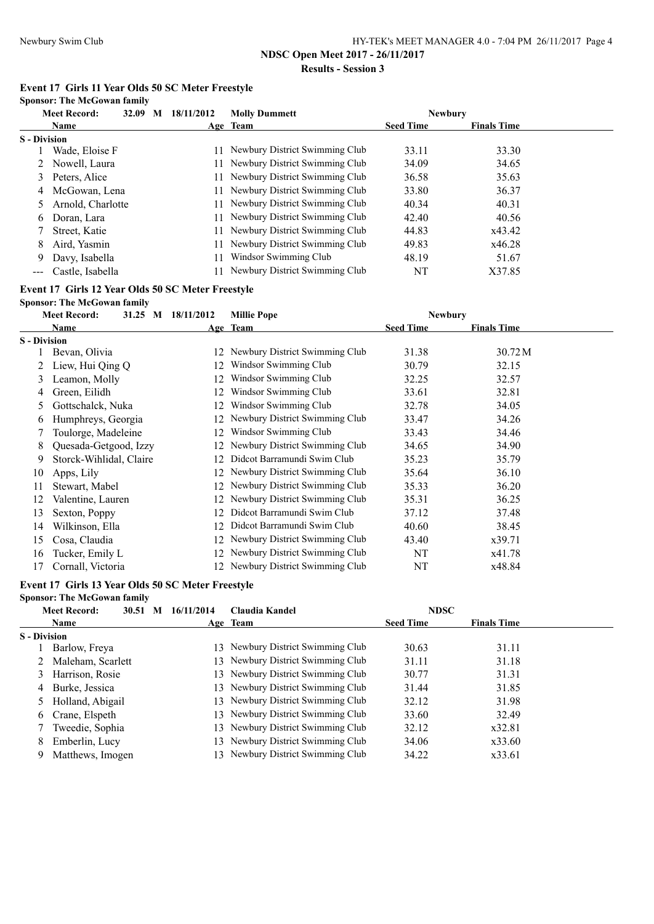**Results - Session 3**

## **Event 17 Girls 11 Year Olds 50 SC Meter Freestyle**

**Sponsor: The McGowan family**

|                     | <b>Meet Record:</b> | 32.09 M | 18/11/2012 | <b>Molly Dummett</b>              | <b>Newbury</b>   |                    |  |
|---------------------|---------------------|---------|------------|-----------------------------------|------------------|--------------------|--|
|                     | <b>Name</b>         |         |            | Age Team                          | <b>Seed Time</b> | <b>Finals Time</b> |  |
| <b>S</b> - Division |                     |         |            |                                   |                  |                    |  |
|                     | Wade, Eloise F      |         |            | 11 Newbury District Swimming Club | 33.11            | 33.30              |  |
|                     | 2 Nowell, Laura     |         |            | 11 Newbury District Swimming Club | 34.09            | 34.65              |  |
| 3                   | Peters, Alice       |         |            | 11 Newbury District Swimming Club | 36.58            | 35.63              |  |
| 4                   | McGowan, Lena       |         |            | 11 Newbury District Swimming Club | 33.80            | 36.37              |  |
|                     | Arnold, Charlotte   |         |            | 11 Newbury District Swimming Club | 40.34            | 40.31              |  |
| 6                   | Doran, Lara         |         |            | 11 Newbury District Swimming Club | 42.40            | 40.56              |  |
|                     | Street, Katie       |         |            | 11 Newbury District Swimming Club | 44.83            | x43.42             |  |
| 8                   | Aird, Yasmin        |         |            | 11 Newbury District Swimming Club | 49.83            | x46.28             |  |
| 9                   | Davy, Isabella      |         |            | Windsor Swimming Club             | 48.19            | 51.67              |  |
|                     | Castle, Isabella    |         |            | Newbury District Swimming Club    | NT               | X37.85             |  |

#### **Event 17 Girls 12 Year Olds 50 SC Meter Freestyle**

**Sponsor: The McGowan family**

|                     | <b>Meet Record:</b>     | 31.25 M 18/11/2012 | <b>Millie Pope</b>                | <b>Newbury</b>   |                    |  |
|---------------------|-------------------------|--------------------|-----------------------------------|------------------|--------------------|--|
|                     | Name                    |                    | Age Team                          | <b>Seed Time</b> | <b>Finals Time</b> |  |
| <b>S</b> - Division |                         |                    |                                   |                  |                    |  |
|                     | Bevan, Olivia           |                    | 12 Newbury District Swimming Club | 31.38            | 30.72 M            |  |
|                     | Liew, Hui Qing Q        | 12                 | Windsor Swimming Club             | 30.79            | 32.15              |  |
| 3                   | Leamon, Molly           | 12                 | Windsor Swimming Club             | 32.25            | 32.57              |  |
| 4                   | Green, Eilidh           | 12                 | Windsor Swimming Club             | 33.61            | 32.81              |  |
| 5.                  | Gottschalck, Nuka       | 12                 | Windsor Swimming Club             | 32.78            | 34.05              |  |
| 6                   | Humphreys, Georgia      |                    | 12 Newbury District Swimming Club | 33.47            | 34.26              |  |
|                     | Toulorge, Madeleine     | 12                 | Windsor Swimming Club             | 33.43            | 34.46              |  |
| 8                   | Quesada-Getgood, Izzy   |                    | Newbury District Swimming Club    | 34.65            | 34.90              |  |
| 9.                  | Storck-Wihlidal, Claire | 12                 | Didcot Barramundi Swim Club       | 35.23            | 35.79              |  |
| 10                  | Apps, Lily              |                    | 12 Newbury District Swimming Club | 35.64            | 36.10              |  |
| 11                  | Stewart, Mabel          |                    | 12 Newbury District Swimming Club | 35.33            | 36.20              |  |
| 12                  | Valentine, Lauren       | 12                 | Newbury District Swimming Club    | 35.31            | 36.25              |  |
| 13                  | Sexton, Poppy           | 12.                | Didcot Barramundi Swim Club       | 37.12            | 37.48              |  |
| 14                  | Wilkinson, Ella         | 12                 | Didcot Barramundi Swim Club       | 40.60            | 38.45              |  |
| 15                  | Cosa, Claudia           |                    | 12 Newbury District Swimming Club | 43.40            | x39.71             |  |
| 16                  | Tucker, Emily L         |                    | 12 Newbury District Swimming Club | NT               | x41.78             |  |
| 17                  | Cornall, Victoria       |                    | 12 Newbury District Swimming Club | NT               | x48.84             |  |

#### **Event 17 Girls 13 Year Olds 50 SC Meter Freestyle**

|                     | <b>Sponsor: The McGowan family</b> |            |                                |                  |                    |  |
|---------------------|------------------------------------|------------|--------------------------------|------------------|--------------------|--|
|                     | <b>Meet Record:</b><br>30.51<br>M  | 16/11/2014 | Claudia Kandel                 | <b>NDSC</b>      |                    |  |
|                     | <b>Name</b>                        |            | Age Team                       | <b>Seed Time</b> | <b>Finals Time</b> |  |
| <b>S</b> - Division |                                    |            |                                |                  |                    |  |
|                     | Barlow, Freya                      | 13         | Newbury District Swimming Club | 30.63            | 31.11              |  |
|                     | Maleham, Scarlett                  | 13         | Newbury District Swimming Club | 31.11            | 31.18              |  |
| 3                   | Harrison, Rosie                    | 13         | Newbury District Swimming Club | 30.77            | 31.31              |  |
| 4                   | Burke, Jessica                     |            | Newbury District Swimming Club | 31.44            | 31.85              |  |
|                     | Holland, Abigail                   | 13.        | Newbury District Swimming Club | 32.12            | 31.98              |  |
| 6                   | Crane, Elspeth                     | 13         | Newbury District Swimming Club | 33.60            | 32.49              |  |
|                     | Tweedie, Sophia                    |            | Newbury District Swimming Club | 32.12            | x32.81             |  |
| 8                   | Emberlin, Lucy                     |            | Newbury District Swimming Club | 34.06            | x33.60             |  |
| 9                   | Matthews, Imogen                   |            | Newbury District Swimming Club | 34.22            | x33.61             |  |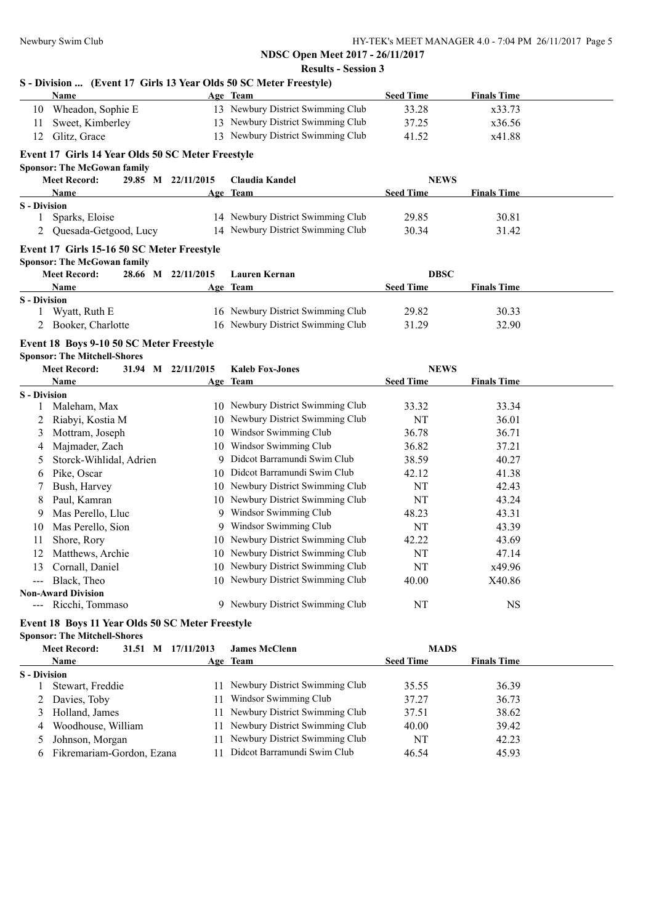| Name                                              |                    | Age Team                          | <b>Seed Time</b> | <b>Finals Time</b> |
|---------------------------------------------------|--------------------|-----------------------------------|------------------|--------------------|
| 10 Wheadon, Sophie E                              |                    | 13 Newbury District Swimming Club | 33.28            | x33.73             |
| Sweet, Kimberley<br>11                            |                    | 13 Newbury District Swimming Club | 37.25            | x36.56             |
| Glitz, Grace<br>12                                |                    | 13 Newbury District Swimming Club | 41.52            | x41.88             |
| Event 17 Girls 14 Year Olds 50 SC Meter Freestyle |                    |                                   |                  |                    |
| <b>Sponsor: The McGowan family</b>                |                    |                                   |                  |                    |
| <b>Meet Record:</b>                               | 29.85 M 22/11/2015 | Claudia Kandel                    | <b>NEWS</b>      |                    |
| Name                                              |                    | Age Team                          | <b>Seed Time</b> | <b>Finals Time</b> |
| <b>S</b> - Division                               |                    |                                   |                  |                    |
| Sparks, Eloise<br>1                               |                    | 14 Newbury District Swimming Club | 29.85            | 30.81              |
| 2 Quesada-Getgood, Lucy                           |                    | 14 Newbury District Swimming Club | 30.34            | 31.42              |
| Event 17 Girls 15-16 50 SC Meter Freestyle        |                    |                                   |                  |                    |
| <b>Sponsor: The McGowan family</b>                |                    |                                   |                  |                    |
| <b>Meet Record:</b>                               | 28.66 M 22/11/2015 | <b>Lauren Kernan</b>              | <b>DBSC</b>      |                    |
| Name                                              |                    | Age Team                          | <b>Seed Time</b> | <b>Finals Time</b> |
| <b>S</b> - Division                               |                    |                                   |                  |                    |
| 1 Wyatt, Ruth E                                   |                    | 16 Newbury District Swimming Club | 29.82            | 30.33              |
| 2 Booker, Charlotte                               |                    | 16 Newbury District Swimming Club | 31.29            | 32.90              |
| Event 18 Boys 9-10 50 SC Meter Freestyle          |                    |                                   |                  |                    |
| <b>Sponsor: The Mitchell-Shores</b>               |                    |                                   |                  |                    |
| <b>Meet Record:</b>                               | 31.94 M 22/11/2015 | <b>Kaleb Fox-Jones</b>            | <b>NEWS</b>      |                    |
| Name                                              |                    | Age Team                          | <b>Seed Time</b> | <b>Finals Time</b> |
| <b>S</b> - Division                               |                    |                                   |                  |                    |
| Maleham, Max<br>1                                 |                    | 10 Newbury District Swimming Club | 33.32            | 33.34              |
| Riabyi, Kostia M<br>2                             |                    | 10 Newbury District Swimming Club | NT               | 36.01              |
| Mottram, Joseph<br>3                              |                    | 10 Windsor Swimming Club          | 36.78            | 36.71              |
| Majmader, Zach<br>4                               |                    | 10 Windsor Swimming Club          | 36.82            | 37.21              |
| Storck-Wihlidal, Adrien<br>5                      |                    | 9 Didcot Barramundi Swim Club     | 38.59            | 40.27              |
| Pike, Oscar<br>6                                  |                    | 10 Didcot Barramundi Swim Club    | 42.12            | 41.38              |
| Bush, Harvey<br>7                                 |                    | 10 Newbury District Swimming Club | NT               | 42.43              |
| Paul, Kamran<br>8                                 |                    | 10 Newbury District Swimming Club | NT               | 43.24              |
| Mas Perello, Lluc<br>9                            |                    | 9 Windsor Swimming Club           | 48.23            | 43.31              |
| Mas Perello, Sion<br>10                           |                    | 9 Windsor Swimming Club           | NT               | 43.39              |
| Shore, Rory<br>11                                 |                    | 10 Newbury District Swimming Club | 42.22            | 43.69              |
| Matthews, Archie<br>12                            |                    | 10 Newbury District Swimming Club | NT               | 47.14              |
| 13<br>Cornall, Daniel                             |                    | 10 Newbury District Swimming Club | NT               | x49.96             |
| --- Black, Theo                                   |                    | 10 Newbury District Swimming Club | 40.00            | X40.86             |
| <b>Non-Award Division</b>                         |                    |                                   |                  |                    |
| --- Ricchi, Tommaso                               |                    | 9 Newbury District Swimming Club  | NT               | <b>NS</b>          |
| Event 18 Boys 11 Year Olds 50 SC Meter Freestyle  |                    |                                   |                  |                    |
| <b>Sponsor: The Mitchell-Shores</b>               |                    |                                   |                  |                    |
| <b>Meet Record:</b>                               | 31.51 M 17/11/2013 | <b>James McClenn</b>              | <b>MADS</b>      |                    |
| Name                                              |                    | Age Team                          | <b>Seed Time</b> | <b>Finals Time</b> |
| <b>S</b> - Division                               |                    |                                   |                  |                    |
| Stewart, Freddie<br>1                             |                    | 11 Newbury District Swimming Club | 35.55            | 36.39              |
| 2 Davies Toby                                     |                    | 11 Windsor Swimming Club          | 3727             | 3673               |

| $\angle$ Davies, 100y       | 11 WINGSOF SWINNING CRUD          | 31.21 | 30.73 |
|-----------------------------|-----------------------------------|-------|-------|
| 3 Holland, James            | 11 Newbury District Swimming Club | 37.51 | 38.62 |
| 4 Woodhouse, William        | 11 Newbury District Swimming Club | 40.00 | 39.42 |
| 5 Johnson, Morgan           | 11 Newbury District Swimming Club | NT    | 42.23 |
| 6 Fikremariam-Gordon, Ezana | 11 Didcot Barramundi Swim Club    | 46.54 | 45.93 |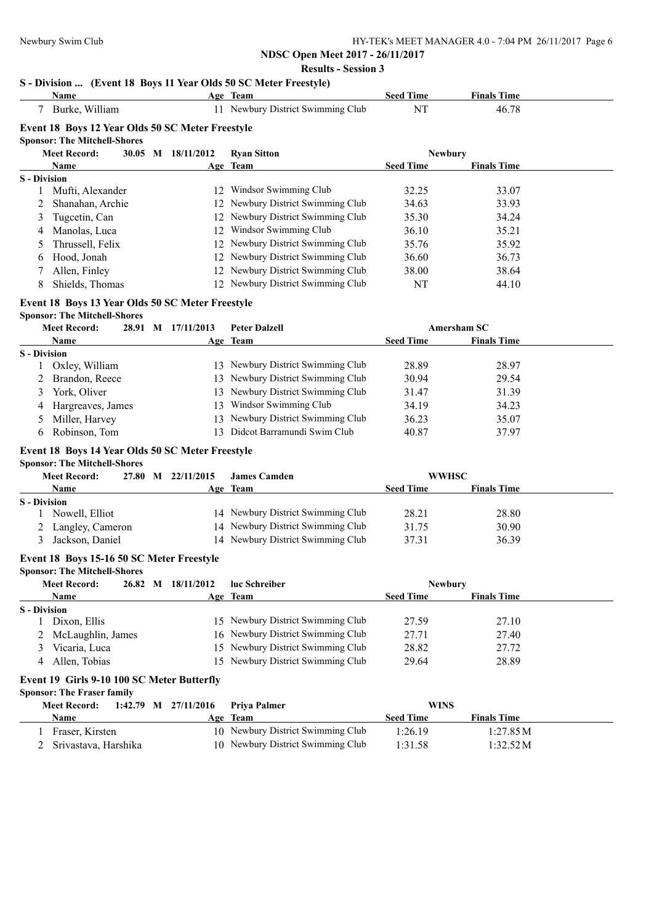# **NDSC Open Meet 2017 - 26/11/2017**

### **Results - Session 3**

# **S - Division ... (Event 18 Boys 11 Year Olds 50 SC Meter Freestyle)**

|                     | <b>Name</b>                                      |  |                          | $\ldots$ (EVERT TO DOYS IT TEM ORIS 50 BC METER FILESTYR)<br>Age Team  | <b>Seed Time</b>                 | <b>Finals Time</b> |  |
|---------------------|--------------------------------------------------|--|--------------------------|------------------------------------------------------------------------|----------------------------------|--------------------|--|
|                     | 7 Burke, William                                 |  |                          | 11 Newbury District Swimming Club                                      | NT                               | 46.78              |  |
|                     | Event 18 Boys 12 Year Olds 50 SC Meter Freestyle |  |                          |                                                                        |                                  |                    |  |
|                     | <b>Sponsor: The Mitchell-Shores</b>              |  |                          |                                                                        |                                  |                    |  |
|                     | <b>Meet Record:</b>                              |  | 30.05 M 18/11/2012       | <b>Ryan Sitton</b>                                                     | <b>Newbury</b>                   |                    |  |
|                     | Name                                             |  |                          | Age Team                                                               | <b>Seed Time</b>                 | <b>Finals Time</b> |  |
| <b>S</b> - Division |                                                  |  |                          |                                                                        |                                  |                    |  |
| 1                   | Mufti, Alexander                                 |  |                          | 12 Windsor Swimming Club                                               | 32.25                            | 33.07              |  |
| 2                   | Shanahan, Archie                                 |  |                          | 12 Newbury District Swimming Club                                      | 34.63                            | 33.93              |  |
| 3                   | Tugcetin, Can                                    |  |                          | 12 Newbury District Swimming Club                                      | 35.30                            | 34.24              |  |
| 4                   | Manolas, Luca                                    |  |                          | 12 Windsor Swimming Club                                               | 36.10                            | 35.21              |  |
| $\mathcal{L}$       | Thrussell, Felix                                 |  |                          | 12 Newbury District Swimming Club                                      | 35.76                            | 35.92              |  |
| 6                   | Hood, Jonah                                      |  |                          | 12 Newbury District Swimming Club<br>12 Newbury District Swimming Club | 36.60                            | 36.73              |  |
|                     | Allen, Finley                                    |  |                          |                                                                        | 38.00                            | 38.64              |  |
| 8                   | Shields, Thomas                                  |  |                          | 12 Newbury District Swimming Club                                      | NT                               | 44.10              |  |
|                     | Event 18 Boys 13 Year Olds 50 SC Meter Freestyle |  |                          |                                                                        |                                  |                    |  |
|                     | <b>Sponsor: The Mitchell-Shores</b>              |  |                          |                                                                        |                                  |                    |  |
|                     | <b>Meet Record:</b>                              |  | 28.91 M 17/11/2013       | <b>Peter Dalzell</b>                                                   |                                  | <b>Amersham SC</b> |  |
|                     | Name                                             |  |                          | Age Team                                                               | <b>Seed Time</b>                 | <b>Finals Time</b> |  |
| <b>S</b> - Division | Oxley, William                                   |  |                          | 13 Newbury District Swimming Club                                      | 28.89                            | 28.97              |  |
| 2                   | Brandon, Reece                                   |  |                          | 13 Newbury District Swimming Club                                      | 30.94                            | 29.54              |  |
| 3                   | York, Oliver                                     |  |                          | 13 Newbury District Swimming Club                                      | 31.47                            | 31.39              |  |
| 4                   | Hargreaves, James                                |  |                          | 13 Windsor Swimming Club                                               | 34.19                            | 34.23              |  |
| 5                   | Miller, Harvey                                   |  |                          | 13 Newbury District Swimming Club                                      | 36.23                            | 35.07              |  |
| 6                   | Robinson, Tom                                    |  |                          | 13 Didcot Barramundi Swim Club                                         | 40.87                            | 37.97              |  |
|                     |                                                  |  |                          |                                                                        |                                  |                    |  |
|                     | Event 18 Boys 14 Year Olds 50 SC Meter Freestyle |  |                          |                                                                        |                                  |                    |  |
|                     | <b>Sponsor: The Mitchell-Shores</b>              |  |                          |                                                                        |                                  |                    |  |
|                     | <b>Meet Record:</b><br>Name                      |  | 27.80 M 22/11/2015       | <b>James Camden</b><br>Age Team                                        | <b>WWHSC</b><br><b>Seed Time</b> | <b>Finals Time</b> |  |
| <b>S</b> - Division |                                                  |  |                          |                                                                        |                                  |                    |  |
|                     | Nowell, Elliot                                   |  |                          | 14 Newbury District Swimming Club                                      | 28.21                            | 28.80              |  |
| 2                   | Langley, Cameron                                 |  |                          | 14 Newbury District Swimming Club                                      | 31.75                            | 30.90              |  |
| 3                   | Jackson, Daniel                                  |  |                          | 14 Newbury District Swimming Club                                      | 37.31                            | 36.39              |  |
|                     | Event 18 Boys 15-16 50 SC Meter Freestyle        |  |                          |                                                                        |                                  |                    |  |
|                     | <b>Sponsor: The Mitchell-Shores</b>              |  |                          |                                                                        |                                  |                    |  |
|                     | <b>Meet Record:</b>                              |  | 26.82 M 18/11/2012       | luc Schreiber                                                          | <b>Newbury</b>                   |                    |  |
|                     | Name                                             |  |                          | Age Team                                                               | <b>Seed Time</b>                 | <b>Finals Time</b> |  |
| <b>S</b> - Division |                                                  |  |                          |                                                                        |                                  |                    |  |
| 1                   | Dixon, Ellis                                     |  |                          | 15 Newbury District Swimming Club                                      | 27.59                            | 27.10              |  |
|                     | McLaughlin, James                                |  |                          | 16 Newbury District Swimming Club                                      | 27.71                            | 27.40              |  |
| 3                   | Vicaria, Luca                                    |  |                          | 15 Newbury District Swimming Club                                      | 28.82                            | 27.72              |  |
| 4                   | Allen, Tobias                                    |  |                          | 15 Newbury District Swimming Club                                      | 29.64                            | 28.89              |  |
|                     | Event 19 Girls 9-10 100 SC Meter Butterfly       |  |                          |                                                                        |                                  |                    |  |
|                     | <b>Sponsor: The Fraser family</b>                |  |                          |                                                                        |                                  |                    |  |
|                     | <b>Meet Record:</b>                              |  | $1:42.79$ M $27/11/2016$ | Priya Palmer                                                           | <b>WINS</b>                      |                    |  |
|                     | Nama                                             |  |                          | Ago Toom                                                               | Sood Time                        | Finale Time        |  |

| Name |                        | Age Team                          | <b>Seed Time</b> | <b>Finals Time</b> |
|------|------------------------|-----------------------------------|------------------|--------------------|
|      | Fraser, Kirsten        | 10 Newbury District Swimming Club | 1:26.19          | 1:27.85M           |
|      | 2 Srivastava, Harshika | 10 Newbury District Swimming Club | 1:31.58          | 1:32.52M           |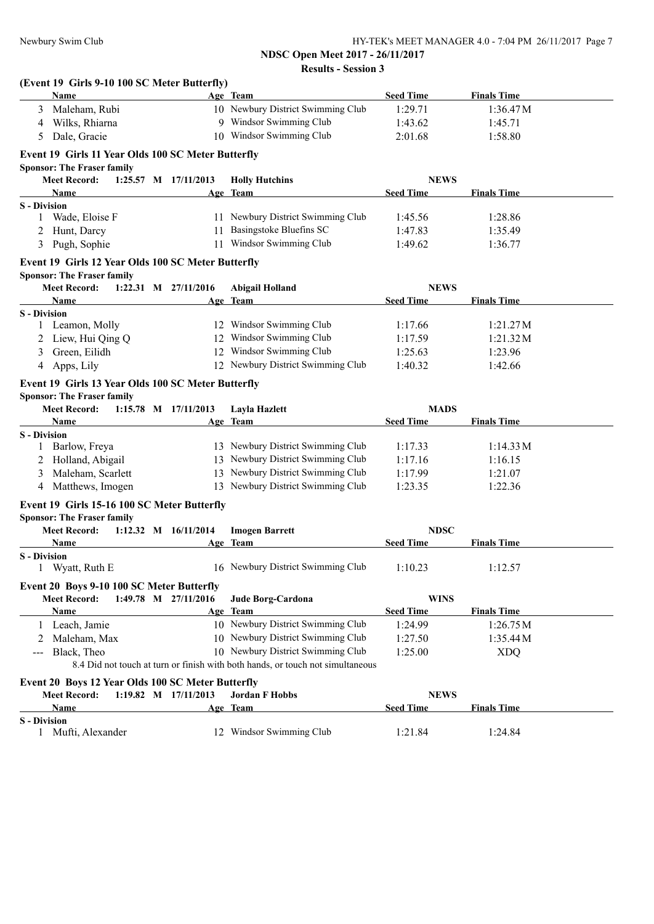| (Event 19 Girls 9-10 100 SC Meter Butterfly)       |                                                                                |                  |                    |
|----------------------------------------------------|--------------------------------------------------------------------------------|------------------|--------------------|
| Name                                               | Age Team                                                                       | <b>Seed Time</b> | <b>Finals Time</b> |
| Maleham, Rubi                                      | 10 Newbury District Swimming Club                                              | 1:29.71          | 1:36.47M           |
| 4 Wilks, Rhiarna                                   | 9 Windsor Swimming Club                                                        | 1:43.62          | 1:45.71            |
| Dale, Gracie<br>5                                  | 10 Windsor Swimming Club                                                       | 2:01.68          | 1:58.80            |
| Event 19 Girls 11 Year Olds 100 SC Meter Butterfly |                                                                                |                  |                    |
| <b>Sponsor: The Fraser family</b>                  |                                                                                |                  |                    |
| <b>Meet Record:</b><br>1:25.57 M 17/11/2013        | <b>Holly Hutchins</b>                                                          | <b>NEWS</b>      |                    |
| Name                                               | Age Team                                                                       | <b>Seed Time</b> | <b>Finals Time</b> |
| <b>S</b> - Division                                |                                                                                |                  |                    |
| Wade, Eloise F<br>1                                | 11 Newbury District Swimming Club                                              | 1:45.56          | 1:28.86            |
| 2 Hunt, Darcy                                      | 11 Basingstoke Bluefins SC                                                     | 1:47.83          | 1:35.49            |
| 3 Pugh, Sophie                                     | 11 Windsor Swimming Club                                                       | 1:49.62          | 1:36.77            |
| Event 19 Girls 12 Year Olds 100 SC Meter Butterfly |                                                                                |                  |                    |
| <b>Sponsor: The Fraser family</b>                  |                                                                                |                  |                    |
| <b>Meet Record:</b><br>1:22.31 M $27/11/2016$      | <b>Abigail Holland</b>                                                         | <b>NEWS</b>      |                    |
| Name                                               | Age Team                                                                       | <b>Seed Time</b> | <b>Finals Time</b> |
| <b>S</b> - Division                                |                                                                                |                  | 1:21.27M           |
| 1 Leamon, Molly                                    | 12 Windsor Swimming Club                                                       | 1:17.66          |                    |
| 2 Liew, Hui Qing Q                                 | 12 Windsor Swimming Club                                                       | 1:17.59          | 1:21.32M           |
| Green, Eilidh<br>3                                 | 12 Windsor Swimming Club                                                       | 1:25.63          | 1:23.96            |
| Apps, Lily<br>4                                    | 12 Newbury District Swimming Club                                              | 1:40.32          | 1:42.66            |
| Event 19 Girls 13 Year Olds 100 SC Meter Butterfly |                                                                                |                  |                    |
| <b>Sponsor: The Fraser family</b>                  |                                                                                |                  |                    |
| <b>Meet Record:</b><br>$1:15.78$ M $17/11/2013$    | Layla Hazlett                                                                  | <b>MADS</b>      |                    |
| <b>Name</b>                                        | Age Team                                                                       | <b>Seed Time</b> | <b>Finals Time</b> |
| <b>S</b> - Division                                |                                                                                |                  |                    |
| 1 Barlow, Freya                                    | 13 Newbury District Swimming Club                                              | 1:17.33          | 1:14.33 M          |
| 2 Holland, Abigail                                 | 13 Newbury District Swimming Club                                              | 1:17.16          | 1:16.15            |
| Maleham, Scarlett<br>3                             | 13 Newbury District Swimming Club                                              | 1:17.99          | 1:21.07            |
| 4 Matthews, Imogen                                 | 13 Newbury District Swimming Club                                              | 1:23.35          | 1:22.36            |
| Event 19 Girls 15-16 100 SC Meter Butterfly        |                                                                                |                  |                    |
| <b>Sponsor: The Fraser family</b>                  |                                                                                |                  |                    |
| <b>Meet Record:</b><br>$1:12.32$ M $16/11/2014$    | <b>Imogen Barrett</b>                                                          | <b>NDSC</b>      |                    |
| Name                                               | Age Team                                                                       | <b>Seed Time</b> | <b>Finals Time</b> |
| <b>S</b> - Division                                |                                                                                |                  |                    |
| 1 Wyatt, Ruth E                                    | 16 Newbury District Swimming Club                                              | 1:10.23          | 1:12.57            |
| Event 20 Boys 9-10 100 SC Meter Butterfly          |                                                                                |                  |                    |
| <b>Meet Record:</b><br>1:49.78 M 27/11/2016        | Jude Borg-Cardona                                                              | <b>WINS</b>      |                    |
| Name                                               | Age Team                                                                       | <b>Seed Time</b> | <b>Finals Time</b> |
| 1 Leach, Jamie                                     | 10 Newbury District Swimming Club                                              | 1:24.99          | 1:26.75M           |
| 2 Maleham, Max                                     | 10 Newbury District Swimming Club                                              | 1:27.50          | 1:35.44M           |
| Black, Theo<br>$\cdots$                            | 10 Newbury District Swimming Club                                              | 1:25.00          | <b>XDQ</b>         |
|                                                    | 8.4 Did not touch at turn or finish with both hands, or touch not simultaneous |                  |                    |
| Event 20 Boys 12 Year Olds 100 SC Meter Butterfly  |                                                                                |                  |                    |
| <b>Meet Record:</b><br>1:19.82 M 17/11/2013        | <b>Jordan F Hobbs</b>                                                          | <b>NEWS</b>      |                    |
| Name                                               | Age Team                                                                       | <b>Seed Time</b> | <b>Finals Time</b> |
| <b>S</b> - Division                                |                                                                                |                  |                    |
| 1 Mufti, Alexander                                 | 12 Windsor Swimming Club                                                       | 1:21.84          | 1:24.84            |
|                                                    |                                                                                |                  |                    |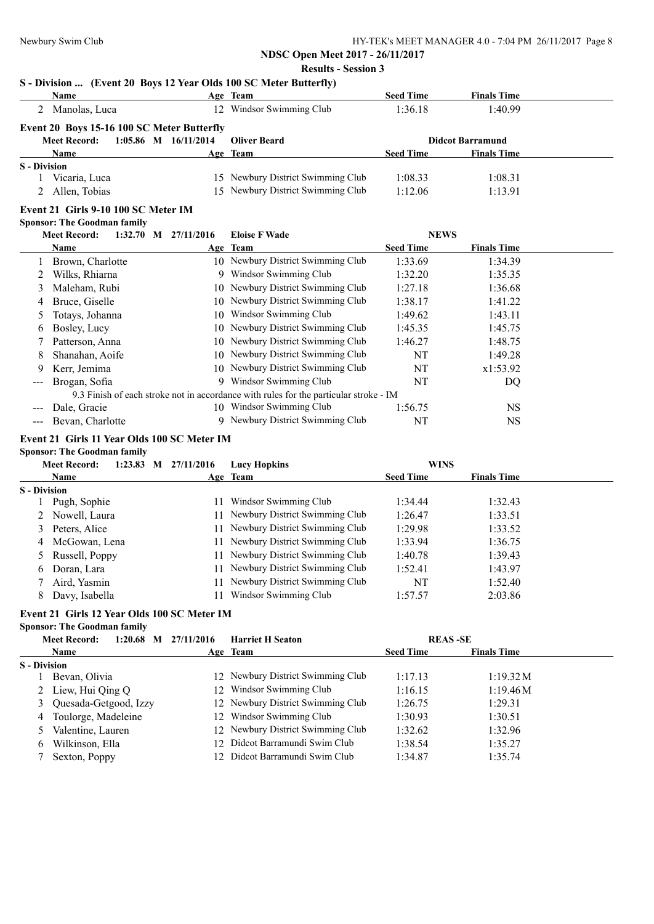# **NDSC Open Meet 2017 - 26/11/2017**

### **Results - Session 3**

# **S - Division ... (Event 20 Boys 12 Year Olds 100 SC Meter Butterfly)**

|                     | <b>Name</b>                                     |    | Age Team                                                                              | <b>Seed Time</b> | <b>Finals Time</b>      |  |
|---------------------|-------------------------------------------------|----|---------------------------------------------------------------------------------------|------------------|-------------------------|--|
|                     | 2 Manolas, Luca                                 |    | 12 Windsor Swimming Club                                                              | 1:36.18          | 1:40.99                 |  |
|                     | Event 20 Boys 15-16 100 SC Meter Butterfly      |    |                                                                                       |                  |                         |  |
|                     | 1:05.86 M 16/11/2014<br><b>Meet Record:</b>     |    | <b>Oliver Beard</b>                                                                   |                  | <b>Didcot Barramund</b> |  |
|                     | Name                                            |    | Age Team                                                                              | <b>Seed Time</b> | <b>Finals Time</b>      |  |
| <b>S</b> - Division |                                                 |    |                                                                                       |                  |                         |  |
|                     | 1 Vicaria, Luca                                 |    | 15 Newbury District Swimming Club                                                     | 1:08.33          | 1:08.31                 |  |
|                     | Allen, Tobias                                   |    | 15 Newbury District Swimming Club                                                     | 1:12.06          | 1:13.91                 |  |
|                     | Event 21 Girls 9-10 100 SC Meter IM             |    |                                                                                       |                  |                         |  |
|                     | <b>Sponsor: The Goodman family</b>              |    |                                                                                       |                  |                         |  |
|                     | <b>Meet Record:</b><br>$1:32.70$ M $27/11/2016$ |    | <b>Eloise F Wade</b>                                                                  | <b>NEWS</b>      |                         |  |
|                     | Name                                            |    | Age Team                                                                              | <b>Seed Time</b> | <b>Finals Time</b>      |  |
| 1                   | Brown, Charlotte                                |    | 10 Newbury District Swimming Club                                                     | 1:33.69          | 1:34.39                 |  |
| 2                   | Wilks, Rhiarna                                  |    | 9 Windsor Swimming Club                                                               | 1:32.20          | 1:35.35                 |  |
| 3                   | Maleham, Rubi                                   |    | 10 Newbury District Swimming Club                                                     | 1:27.18          | 1:36.68                 |  |
| 4                   | Bruce, Giselle                                  |    | 10 Newbury District Swimming Club                                                     | 1:38.17          | 1:41.22                 |  |
| 5                   | Totays, Johanna                                 |    | 10 Windsor Swimming Club                                                              | 1:49.62          | 1:43.11                 |  |
| 6                   | Bosley, Lucy                                    |    | 10 Newbury District Swimming Club                                                     | 1:45.35          | 1:45.75                 |  |
|                     | Patterson, Anna                                 |    | 10 Newbury District Swimming Club                                                     | 1:46.27          | 1:48.75                 |  |
| 8                   | Shanahan, Aoife                                 |    | 10 Newbury District Swimming Club                                                     | NT               | 1:49.28                 |  |
|                     | Kerr, Jemima                                    |    | 10 Newbury District Swimming Club                                                     | NT               | x1:53.92                |  |
| $---$               | Brogan, Sofia                                   |    | 9 Windsor Swimming Club                                                               | NT               | DQ                      |  |
|                     |                                                 |    | 9.3 Finish of each stroke not in accordance with rules for the particular stroke - IM |                  |                         |  |
|                     | Dale, Gracie                                    |    | 10 Windsor Swimming Club                                                              | 1:56.75          | <b>NS</b>               |  |
|                     | Bevan, Charlotte                                |    | 9 Newbury District Swimming Club                                                      | NT               | <b>NS</b>               |  |
|                     | Event 21 Girls 11 Year Olds 100 SC Meter IM     |    |                                                                                       |                  |                         |  |
|                     | <b>Sponsor: The Goodman family</b>              |    |                                                                                       |                  |                         |  |
|                     | <b>Meet Record:</b><br>1:23.83 M 27/11/2016     |    | <b>Lucy Hopkins</b>                                                                   | <b>WINS</b>      |                         |  |
|                     | Name                                            |    | Age Team                                                                              | <b>Seed Time</b> | <b>Finals Time</b>      |  |
| <b>S</b> - Division |                                                 |    |                                                                                       |                  |                         |  |
|                     | Pugh, Sophie                                    |    | 11 Windsor Swimming Club                                                              | 1:34.44          | 1:32.43                 |  |
| 2                   | Nowell, Laura                                   |    | 11 Newbury District Swimming Club                                                     | 1:26.47          | 1:33.51                 |  |
| 3                   | Peters, Alice                                   |    | 11 Newbury District Swimming Club                                                     | 1:29.98          | 1:33.52                 |  |
| 4                   | McGowan, Lena                                   | 11 | Newbury District Swimming Club                                                        | 1:33.94          | 1:36.75                 |  |
| 5                   | Russell, Poppy                                  |    | 11 Newbury District Swimming Club                                                     | 1:40.78          | 1:39.43                 |  |
| 6                   | Doran, Lara                                     |    | 11 Newbury District Swimming Club                                                     | 1:52.41          | 1:43.97                 |  |
| 7                   | Aird, Yasmin                                    |    | 11 Newbury District Swimming Club                                                     | NT               | 1:52.40                 |  |
| 8                   | Davy, Isabella                                  |    | 11 Windsor Swimming Club                                                              | 1:57.57          | 2:03.86                 |  |
|                     | Event 21 Girls 12 Year Olds 100 SC Meter IM     |    |                                                                                       |                  |                         |  |
|                     | <b>Sponsor: The Goodman family</b>              |    |                                                                                       |                  |                         |  |
|                     | <b>Meet Record:</b><br>1:20.68 M 27/11/2016     |    | <b>Harriet H Seaton</b>                                                               |                  | <b>REAS-SE</b>          |  |
|                     | Name                                            |    | Age Team                                                                              | <b>Seed Time</b> | <b>Finals Time</b>      |  |
| <b>S</b> - Division |                                                 |    |                                                                                       |                  |                         |  |
|                     | Bevan, Olivia                                   |    | 12 Newbury District Swimming Club                                                     | 1:17.13          | 1:19.32M                |  |
| 2                   | Liew, Hui Qing Q                                | 12 | Windsor Swimming Club                                                                 | 1:16.15          | 1:19.46M                |  |
| 3                   | Quesada-Getgood, Izzy                           | 12 | Newbury District Swimming Club                                                        | 1:26.75          | 1:29.31                 |  |
| 4                   | Toulorge, Madeleine                             | 12 | Windsor Swimming Club                                                                 | 1:30.93          | 1:30.51                 |  |
|                     | Valentine, Lauren                               |    | 12 Newbury District Swimming Club                                                     | 1:32.62          | 1:32.96                 |  |
| 6                   | Wilkinson, Ella                                 |    | 12 Didcot Barramundi Swim Club                                                        | 1:38.54          | 1:35.27                 |  |

7 Sexton, Poppy 12 Didcot Barramundi Swim Club 1:34.87 1:35.74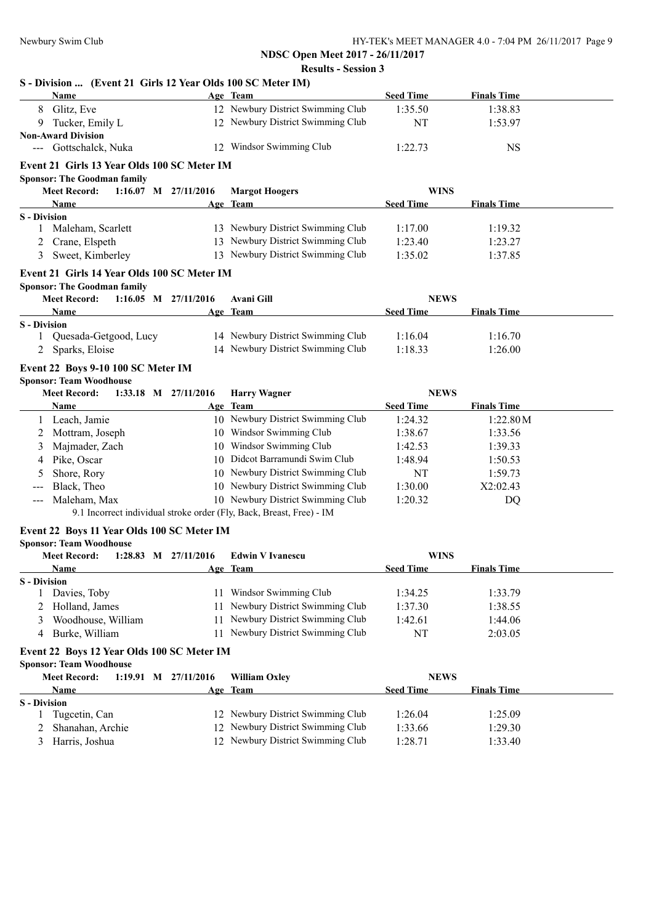## **S - Division ... (Event 21 Girls 12 Year Olds 100 SC Meter IM)**

| <b>Name</b>                                     |    | Age Team                                                             | <b>Seed Time</b> | <b>Finals Time</b> |  |
|-------------------------------------------------|----|----------------------------------------------------------------------|------------------|--------------------|--|
| Glitz, Eve<br>8                                 |    | 12 Newbury District Swimming Club                                    | 1:35.50          | 1:38.83            |  |
| Tucker, Emily L<br>9                            |    | 12 Newbury District Swimming Club                                    | NT               | 1:53.97            |  |
| <b>Non-Award Division</b>                       |    |                                                                      |                  |                    |  |
| Gottschalck, Nuka<br>$\qquad \qquad - -$        |    | 12 Windsor Swimming Club                                             | 1:22.73          | <b>NS</b>          |  |
| Event 21 Girls 13 Year Olds 100 SC Meter IM     |    |                                                                      |                  |                    |  |
| <b>Sponsor: The Goodman family</b>              |    |                                                                      |                  |                    |  |
| <b>Meet Record:</b><br>$1:16.07$ M $27/11/2016$ |    | <b>Margot Hoogers</b>                                                | <b>WINS</b>      |                    |  |
| Name                                            |    | Age Team                                                             | <b>Seed Time</b> | <b>Finals Time</b> |  |
| <b>S</b> - Division                             |    |                                                                      |                  |                    |  |
| Maleham, Scarlett<br>1                          |    | 13 Newbury District Swimming Club                                    | 1:17.00          | 1:19.32            |  |
| Crane, Elspeth                                  |    | 13 Newbury District Swimming Club                                    | 1:23.40          | 1:23.27            |  |
| Sweet, Kimberley<br>3                           |    | 13 Newbury District Swimming Club                                    | 1:35.02          | 1:37.85            |  |
| Event 21 Girls 14 Year Olds 100 SC Meter IM     |    |                                                                      |                  |                    |  |
| <b>Sponsor: The Goodman family</b>              |    |                                                                      |                  |                    |  |
| <b>Meet Record:</b><br>$1:16.05$ M $27/11/2016$ |    | <b>Avani Gill</b>                                                    | <b>NEWS</b>      |                    |  |
| Name                                            |    | Age Team                                                             | <b>Seed Time</b> | <b>Finals Time</b> |  |
| <b>S</b> - Division                             |    |                                                                      |                  |                    |  |
| Quesada-Getgood, Lucy<br>1                      |    | 14 Newbury District Swimming Club                                    | 1:16.04          | 1:16.70            |  |
| Sparks, Eloise<br>2                             |    | 14 Newbury District Swimming Club                                    | 1:18.33          | 1:26.00            |  |
| Event 22 Boys 9-10 100 SC Meter IM              |    |                                                                      |                  |                    |  |
| <b>Sponsor: Team Woodhouse</b>                  |    |                                                                      |                  |                    |  |
| <b>Meet Record:</b><br>1:33.18 M 27/11/2016     |    | <b>Harry Wagner</b>                                                  | <b>NEWS</b>      |                    |  |
| Name                                            |    | Age Team                                                             | <b>Seed Time</b> | <b>Finals Time</b> |  |
| 1 Leach, Jamie                                  |    | 10 Newbury District Swimming Club                                    | 1:24.32          | 1:22.80M           |  |
| Mottram, Joseph                                 |    | 10 Windsor Swimming Club                                             | 1:38.67          | 1:33.56            |  |
| Majmader, Zach<br>3                             |    | 10 Windsor Swimming Club                                             | 1:42.53          | 1:39.33            |  |
| Pike, Oscar<br>4                                |    | 10 Didcot Barramundi Swim Club                                       | 1:48.94          | 1:50.53            |  |
| Shore, Rory<br>5                                |    | 10 Newbury District Swimming Club                                    | NT               | 1:59.73            |  |
| Black, Theo                                     |    | 10 Newbury District Swimming Club                                    | 1:30.00          | X2:02.43           |  |
| Maleham, Max<br>$---$                           |    | 10 Newbury District Swimming Club                                    | 1:20.32          | DQ                 |  |
|                                                 |    | 9.1 Incorrect individual stroke order (Fly, Back, Breast, Free) - IM |                  |                    |  |
| Event 22 Boys 11 Year Olds 100 SC Meter IM      |    |                                                                      |                  |                    |  |
| <b>Sponsor: Team Woodhouse</b>                  |    |                                                                      |                  |                    |  |
| <b>Meet Record:</b><br>1:28.83 M $27/11/2016$   |    | <b>Edwin V Ivanescu</b>                                              | <b>WINS</b>      |                    |  |
| <b>Name</b>                                     |    | Age Team                                                             | <b>Seed Time</b> | <b>Finals Time</b> |  |
| <b>S</b> - Division                             |    |                                                                      |                  |                    |  |
| Davies, Toby<br>1                               |    | 11 Windsor Swimming Club                                             | 1:34.25          | 1:33.79            |  |
| Holland, James<br>2                             |    | 11 Newbury District Swimming Club                                    | 1:37.30          | 1:38.55            |  |
| Woodhouse, William<br>3                         | 11 | Newbury District Swimming Club                                       | 1:42.61          | 1:44.06            |  |
| Burke, William<br>4                             |    | 11 Newbury District Swimming Club                                    | NT               | 2:03.05            |  |
| Event 22 Boys 12 Year Olds 100 SC Meter IM      |    |                                                                      |                  |                    |  |
| <b>Sponsor: Team Woodhouse</b>                  |    |                                                                      |                  |                    |  |
| <b>Meet Record:</b><br>1:19.91 M 27/11/2016     |    | <b>William Oxley</b>                                                 | <b>NEWS</b>      |                    |  |
| Name                                            |    | Age Team                                                             | <b>Seed Time</b> | <b>Finals Time</b> |  |
| <b>S</b> - Division                             |    |                                                                      |                  |                    |  |
| Tugcetin, Can<br>1                              |    | 12 Newbury District Swimming Club                                    | 1:26.04          | 1:25.09            |  |
| Shanahan, Archie<br>2                           |    | 12 Newbury District Swimming Club                                    | 1:33.66          | 1:29.30            |  |
| Harris, Joshua<br>3                             |    | 12 Newbury District Swimming Club                                    | 1:28.71          | 1:33.40            |  |